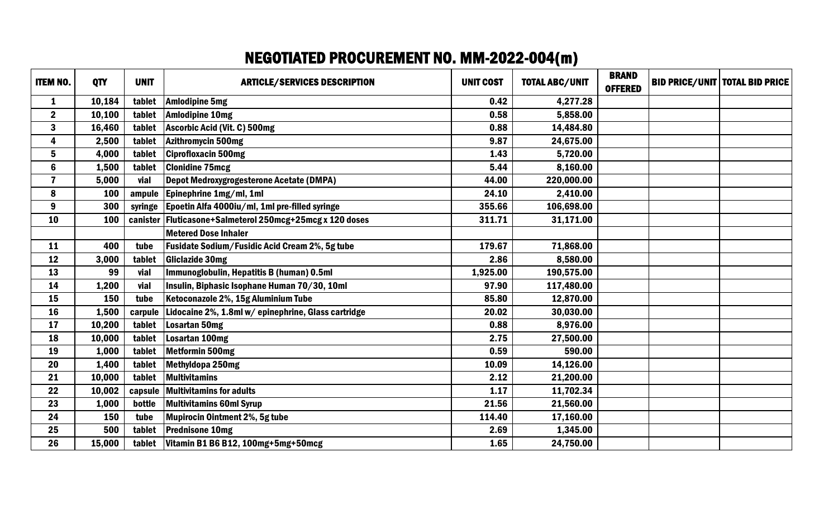## NEGOTIATED PROCUREMENT NO. MM-2022-004(m)

| <b>ITEM NO.</b> | <b>QTY</b> | <b>UNIT</b> | <b>ARTICLE/SERVICES DESCRIPTION</b>                            | <b>UNIT COST</b> | <b>TOTAL ABC/UNIT</b> | <b>BRAND</b><br><b>OFFERED</b> | <b>BID PRICE/UNIT   TOTAL BID PRICE</b> |
|-----------------|------------|-------------|----------------------------------------------------------------|------------------|-----------------------|--------------------------------|-----------------------------------------|
| $\mathbf{1}$    | 10,184     | tablet      | <b>Amlodipine 5mg</b>                                          | 0.42             | 4,277.28              |                                |                                         |
| $\mathbf{2}$    | 10,100     | tablet      | <b>Amlodipine 10mg</b>                                         | 0.58             | 5,858.00              |                                |                                         |
| $\mathbf{3}$    | 16,460     | tablet      | Ascorbic Acid (Vit. C) 500mg                                   | 0.88             | 14,484.80             |                                |                                         |
| 4               | 2,500      | tablet      | Azithromycin 500mg                                             | 9.87             | 24,675.00             |                                |                                         |
| 5               | 4,000      | tablet      | <b>Ciprofloxacin 500mg</b>                                     | 1.43             | 5,720.00              |                                |                                         |
| $6\phantom{a}$  | 1,500      | tablet      | <b>Clonidine 75mcg</b>                                         | 5.44             | 8,160.00              |                                |                                         |
| $\overline{7}$  | 5,000      | vial        | Depot Medroxygrogesterone Acetate (DMPA)                       | 44.00            | 220,000.00            |                                |                                         |
| 8               | 100        | ampule      | Epinephrine 1mg/ml, 1ml                                        | 24.10            | 2,410.00              |                                |                                         |
| 9               | 300        |             | syringe   Epoetin Alfa 4000iu/ml, 1ml pre-filled syringe       | 355.66           | 106,698.00            |                                |                                         |
| 10              | 100        |             | canister   Fluticasone + Salmeterol 250mcg + 25mcg x 120 doses | 311.71           | 31,171.00             |                                |                                         |
|                 |            |             | <b>Metered Dose Inhaler</b>                                    |                  |                       |                                |                                         |
| 11              | 400        | tube        | <b>Fusidate Sodium/Fusidic Acid Cream 2%, 5g tube</b>          | 179.67           | 71,868.00             |                                |                                         |
| 12              | 3,000      | tablet      | <b>Gliclazide 30mg</b>                                         | 2.86             | 8,580.00              |                                |                                         |
| 13              | 99         | vial        | Immunoglobulin, Hepatitis B (human) 0.5ml                      | 1,925.00         | 190,575.00            |                                |                                         |
| 14              | 1,200      | vial        | Insulin, Biphasic Isophane Human 70/30, 10ml                   | 97.90            | 117,480.00            |                                |                                         |
| 15              | 150        | tube        | Ketoconazole 2%, 15g Aluminium Tube                            | 85.80            | 12,870.00             |                                |                                         |
| 16              | 1,500      | carpule     | Lidocaine 2%, 1.8ml w/epinephrine, Glass cartridge             | 20.02            | 30,030.00             |                                |                                         |
| 17              | 10,200     | tablet      | Losartan 50mg                                                  | 0.88             | 8,976.00              |                                |                                         |
| 18              | 10,000     | tablet      | Losartan 100mg                                                 | 2.75             | 27,500.00             |                                |                                         |
| 19              | 1,000      | tablet      | Metformin 500mg                                                | 0.59             | 590.00                |                                |                                         |
| 20              | 1,400      | tablet      | Methyldopa 250mg                                               | 10.09            | 14,126.00             |                                |                                         |
| 21              | 10,000     | tablet      | Multivitamins                                                  | 2.12             | 21,200.00             |                                |                                         |
| 22              | 10,002     | capsule     | <b>Multivitamins for adults</b>                                | 1.17             | 11,702.34             |                                |                                         |
| 23              | 1,000      | bottle      | <b>Multivitamins 60ml Syrup</b>                                | 21.56            | 21,560.00             |                                |                                         |
| 24              | 150        | tube        | Mupirocin Ointment 2%, 5g tube                                 | 114.40           | 17,160.00             |                                |                                         |
| 25              | 500        | tablet      | <b>Prednisone 10mg</b>                                         | 2.69             | 1,345.00              |                                |                                         |
| 26              | 15,000     |             | tablet $\vert$ Vitamin B1 B6 B12, 100mg+5mg+50mcg              | 1.65             | 24,750.00             |                                |                                         |